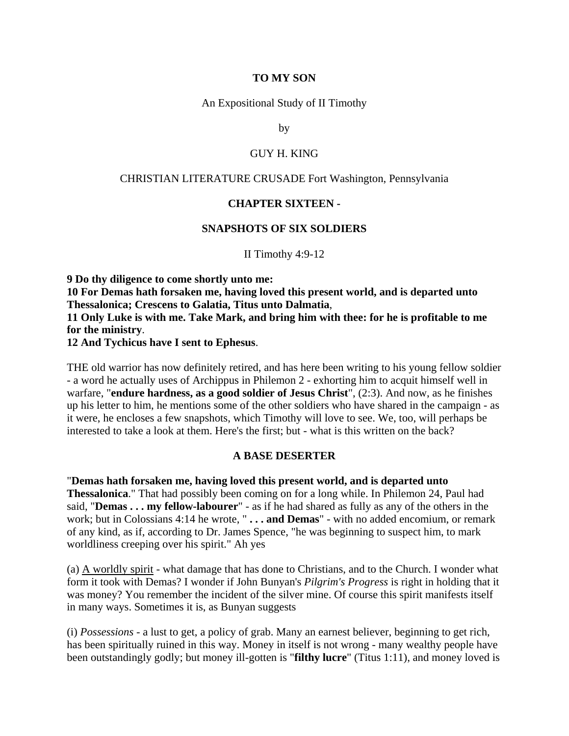## **TO MY SON**

### An Expositional Study of II Timothy

by

## GUY H. KING

### CHRISTIAN LITERATURE CRUSADE Fort Washington, Pennsylvania

### **CHAPTER SIXTEEN -**

#### **SNAPSHOTS OF SIX SOLDIERS**

II Timothy 4:9-12

**9 Do thy diligence to come shortly unto me: 10 For Demas hath forsaken me, having loved this present world, and is departed unto Thessalonica; Crescens to Galatia, Titus unto Dalmatia**, **11 Only Luke is with me. Take Mark, and bring him with thee: for he is profitable to me for the ministry**.

**12 And Tychicus have I sent to Ephesus**.

THE old warrior has now definitely retired, and has here been writing to his young fellow soldier - a word he actually uses of Archippus in Philemon 2 - exhorting him to acquit himself well in warfare, "**endure hardness, as a good soldier of Jesus Christ**", (2:3). And now, as he finishes up his letter to him, he mentions some of the other soldiers who have shared in the campaign - as it were, he encloses a few snapshots, which Timothy will love to see. We, too, will perhaps be interested to take a look at them. Here's the first; but - what is this written on the back?

## **A BASE DESERTER**

"**Demas hath forsaken me, having loved this present world, and is departed unto Thessalonica**." That had possibly been coming on for a long while. In Philemon 24, Paul had said, "**Demas . . . my fellow-labourer**" - as if he had shared as fully as any of the others in the work; but in Colossians 4:14 he wrote, " **. . . and Demas**" - with no added encomium, or remark of any kind, as if, according to Dr. James Spence, "he was beginning to suspect him, to mark worldliness creeping over his spirit." Ah yes

(a) A worldly spirit - what damage that has done to Christians, and to the Church. I wonder what form it took with Demas? I wonder if John Bunyan's *Pilgrim's Progress* is right in holding that it was money? You remember the incident of the silver mine. Of course this spirit manifests itself in many ways. Sometimes it is, as Bunyan suggests

(i) *Possessions* - a lust to get, a policy of grab. Many an earnest believer, beginning to get rich, has been spiritually ruined in this way. Money in itself is not wrong - many wealthy people have been outstandingly godly; but money ill-gotten is "**filthy lucre**" (Titus 1:11), and money loved is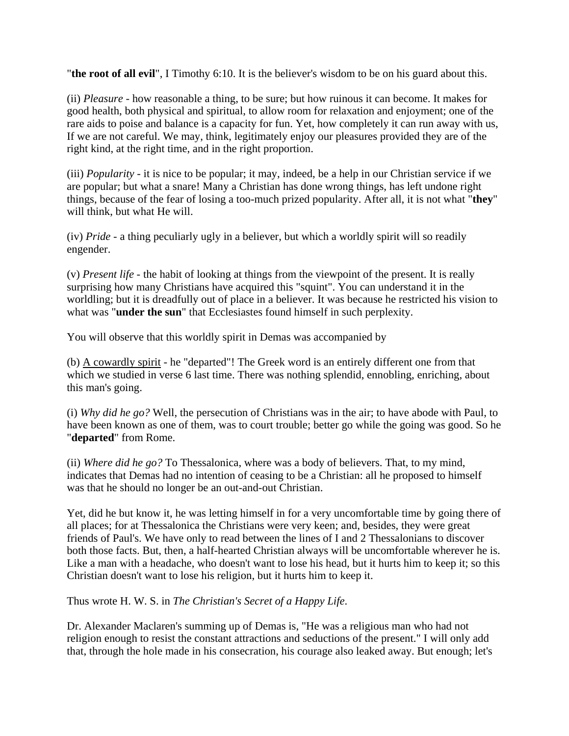"**the root of all evil**", I Timothy 6:10. It is the believer's wisdom to be on his guard about this.

(ii) *Pleasure* - how reasonable a thing, to be sure; but how ruinous it can become. It makes for good health, both physical and spiritual, to allow room for relaxation and enjoyment; one of the rare aids to poise and balance is a capacity for fun. Yet, how completely it can run away with us, If we are not careful. We may, think, legitimately enjoy our pleasures provided they are of the right kind, at the right time, and in the right proportion.

(iii) *Popularity* - it is nice to be popular; it may, indeed, be a help in our Christian service if we are popular; but what a snare! Many a Christian has done wrong things, has left undone right things, because of the fear of losing a too-much prized popularity. After all, it is not what "**they**" will think, but what He will.

(iv) *Pride* - a thing peculiarly ugly in a believer, but which a worldly spirit will so readily engender.

(v) *Present life* - the habit of looking at things from the viewpoint of the present. It is really surprising how many Christians have acquired this "squint". You can understand it in the worldling; but it is dreadfully out of place in a believer. It was because he restricted his vision to what was "**under the sun**" that Ecclesiastes found himself in such perplexity.

You will observe that this worldly spirit in Demas was accompanied by

(b) A cowardly spirit - he "departed"! The Greek word is an entirely different one from that which we studied in verse 6 last time. There was nothing splendid, ennobling, enriching, about this man's going.

(i) *Why did he go?* Well, the persecution of Christians was in the air; to have abode with Paul, to have been known as one of them, was to court trouble; better go while the going was good. So he "**departed**" from Rome.

(ii) *Where did he go?* To Thessalonica, where was a body of believers. That, to my mind, indicates that Demas had no intention of ceasing to be a Christian: all he proposed to himself was that he should no longer be an out-and-out Christian.

Yet, did he but know it, he was letting himself in for a very uncomfortable time by going there of all places; for at Thessalonica the Christians were very keen; and, besides, they were great friends of Paul's. We have only to read between the lines of I and 2 Thessalonians to discover both those facts. But, then, a half-hearted Christian always will be uncomfortable wherever he is. Like a man with a headache, who doesn't want to lose his head, but it hurts him to keep it; so this Christian doesn't want to lose his religion, but it hurts him to keep it.

Thus wrote H. W. S. in *The Christian's Secret of a Happy Life*.

Dr. Alexander Maclaren's summing up of Demas is, "He was a religious man who had not religion enough to resist the constant attractions and seductions of the present." I will only add that, through the hole made in his consecration, his courage also leaked away. But enough; let's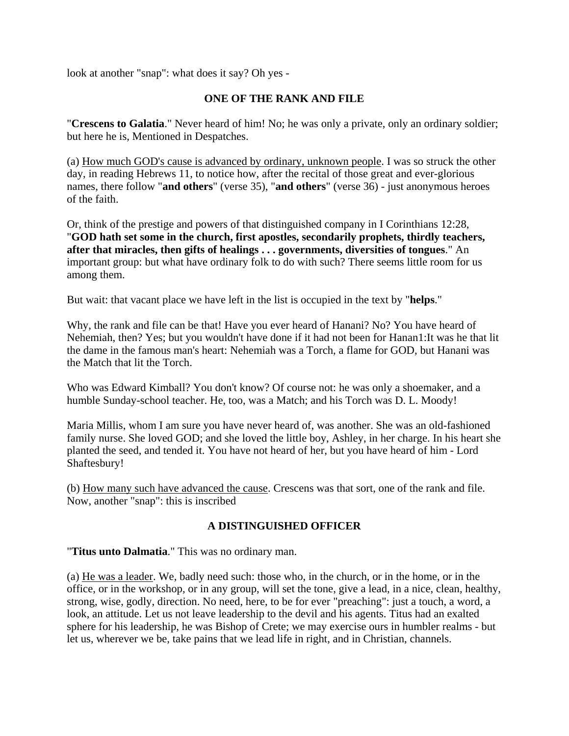look at another "snap": what does it say? Oh yes -

# **ONE OF THE RANK AND FILE**

"**Crescens to Galatia**." Never heard of him! No; he was only a private, only an ordinary soldier; but here he is, Mentioned in Despatches.

(a) How much GOD's cause is advanced by ordinary, unknown people. I was so struck the other day, in reading Hebrews 11, to notice how, after the recital of those great and ever-glorious names, there follow "**and others**" (verse 35), "**and others**" (verse 36) - just anonymous heroes of the faith.

Or, think of the prestige and powers of that distinguished company in I Corinthians 12:28, "**GOD hath set some in the church, first apostles, secondarily prophets, thirdly teachers, after that miracles, then gifts of healings . . . governments, diversities of tongues**." An important group: but what have ordinary folk to do with such? There seems little room for us among them.

But wait: that vacant place we have left in the list is occupied in the text by "**helps**."

Why, the rank and file can be that! Have you ever heard of Hanani? No? You have heard of Nehemiah, then? Yes; but you wouldn't have done if it had not been for Hanan1:It was he that lit the dame in the famous man's heart: Nehemiah was a Torch, a flame for GOD, but Hanani was the Match that lit the Torch.

Who was Edward Kimball? You don't know? Of course not: he was only a shoemaker, and a humble Sunday-school teacher. He, too, was a Match; and his Torch was D. L. Moody!

Maria Millis, whom I am sure you have never heard of, was another. She was an old-fashioned family nurse. She loved GOD; and she loved the little boy, Ashley, in her charge. In his heart she planted the seed, and tended it. You have not heard of her, but you have heard of him - Lord Shaftesbury!

(b) How many such have advanced the cause. Crescens was that sort, one of the rank and file. Now, another "snap": this is inscribed

## **A DISTINGUISHED OFFICER**

"**Titus unto Dalmatia**." This was no ordinary man.

(a) He was a leader. We, badly need such: those who, in the church, or in the home, or in the office, or in the workshop, or in any group, will set the tone, give a lead, in a nice, clean, healthy, strong, wise, godly, direction. No need, here, to be for ever "preaching": just a touch, a word, a look, an attitude. Let us not leave leadership to the devil and his agents. Titus had an exalted sphere for his leadership, he was Bishop of Crete; we may exercise ours in humbler realms - but let us, wherever we be, take pains that we lead life in right, and in Christian, channels.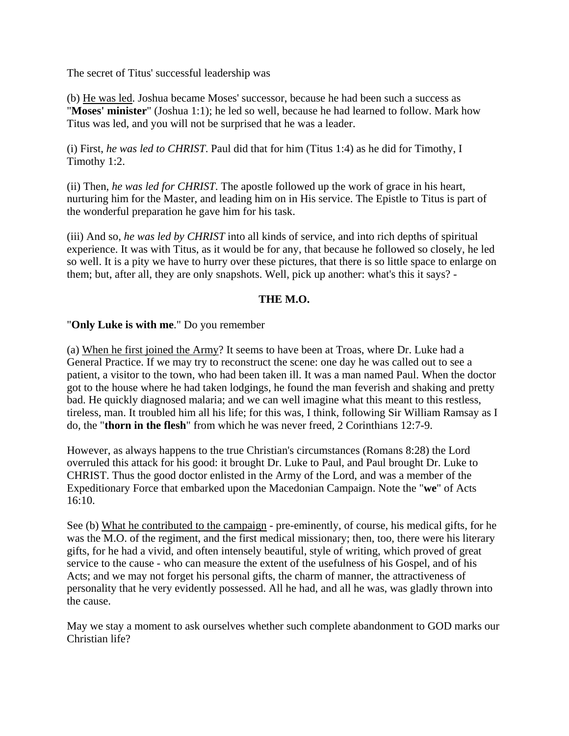The secret of Titus' successful leadership was

(b) He was led. Joshua became Moses' successor, because he had been such a success as "**Moses' minister**" (Joshua 1:1); he led so well, because he had learned to follow. Mark how Titus was led, and you will not be surprised that he was a leader.

(i) First, *he was led to CHRIST*. Paul did that for him (Titus 1:4) as he did for Timothy, I Timothy 1:2.

(ii) Then, *he was led for CHRIST*. The apostle followed up the work of grace in his heart, nurturing him for the Master, and leading him on in His service. The Epistle to Titus is part of the wonderful preparation he gave him for his task.

(iii) And so, *he was led by CHRIST* into all kinds of service, and into rich depths of spiritual experience. It was with Titus, as it would be for any, that because he followed so closely, he led so well. It is a pity we have to hurry over these pictures, that there is so little space to enlarge on them; but, after all, they are only snapshots. Well, pick up another: what's this it says? -

# **THE M.O.**

"**Only Luke is with me**." Do you remember

(a) When he first joined the Army? It seems to have been at Troas, where Dr. Luke had a General Practice. If we may try to reconstruct the scene: one day he was called out to see a patient, a visitor to the town, who had been taken ill. It was a man named Paul. When the doctor got to the house where he had taken lodgings, he found the man feverish and shaking and pretty bad. He quickly diagnosed malaria; and we can well imagine what this meant to this restless, tireless, man. It troubled him all his life; for this was, I think, following Sir William Ramsay as I do, the "**thorn in the flesh**" from which he was never freed, 2 Corinthians 12:7-9.

However, as always happens to the true Christian's circumstances (Romans 8:28) the Lord overruled this attack for his good: it brought Dr. Luke to Paul, and Paul brought Dr. Luke to CHRIST. Thus the good doctor enlisted in the Army of the Lord, and was a member of the Expeditionary Force that embarked upon the Macedonian Campaign. Note the "**we**" of Acts 16:10.

See (b) What he contributed to the campaign - pre-eminently, of course, his medical gifts, for he was the M.O. of the regiment, and the first medical missionary; then, too, there were his literary gifts, for he had a vivid, and often intensely beautiful, style of writing, which proved of great service to the cause - who can measure the extent of the usefulness of his Gospel, and of his Acts; and we may not forget his personal gifts, the charm of manner, the attractiveness of personality that he very evidently possessed. All he had, and all he was, was gladly thrown into the cause.

May we stay a moment to ask ourselves whether such complete abandonment to GOD marks our Christian life?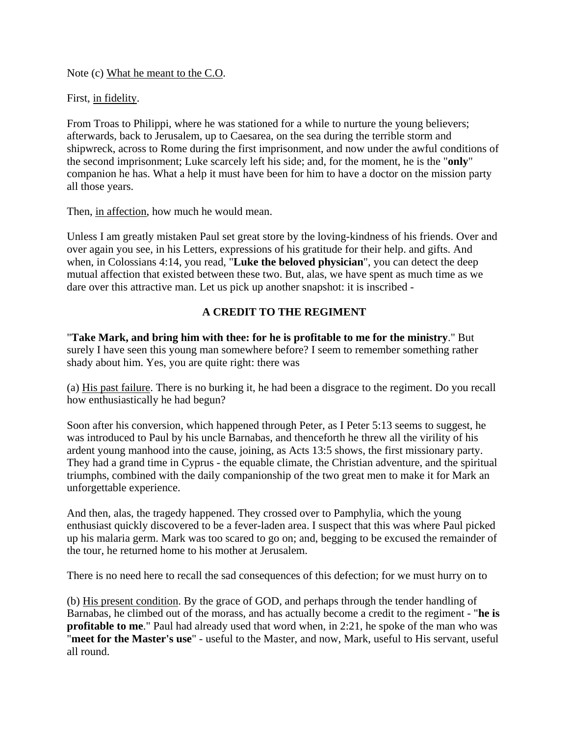Note (c) What he meant to the C.O.

First, in fidelity.

From Troas to Philippi, where he was stationed for a while to nurture the young believers; afterwards, back to Jerusalem, up to Caesarea, on the sea during the terrible storm and shipwreck, across to Rome during the first imprisonment, and now under the awful conditions of the second imprisonment; Luke scarcely left his side; and, for the moment, he is the "**only**" companion he has. What a help it must have been for him to have a doctor on the mission party all those years.

Then, in affection, how much he would mean.

Unless I am greatly mistaken Paul set great store by the loving-kindness of his friends. Over and over again you see, in his Letters, expressions of his gratitude for their help. and gifts. And when, in Colossians 4:14, you read, "**Luke the beloved physician**", you can detect the deep mutual affection that existed between these two. But, alas, we have spent as much time as we dare over this attractive man. Let us pick up another snapshot: it is inscribed -

# **A CREDIT TO THE REGIMENT**

"**Take Mark, and bring him with thee: for he is profitable to me for the ministry**." But surely I have seen this young man somewhere before? I seem to remember something rather shady about him. Yes, you are quite right: there was

(a) His past failure. There is no burking it, he had been a disgrace to the regiment. Do you recall how enthusiastically he had begun?

Soon after his conversion, which happened through Peter, as I Peter 5:13 seems to suggest, he was introduced to Paul by his uncle Barnabas, and thenceforth he threw all the virility of his ardent young manhood into the cause, joining, as Acts 13:5 shows, the first missionary party. They had a grand time in Cyprus - the equable climate, the Christian adventure, and the spiritual triumphs, combined with the daily companionship of the two great men to make it for Mark an unforgettable experience.

And then, alas, the tragedy happened. They crossed over to Pamphylia, which the young enthusiast quickly discovered to be a fever-laden area. I suspect that this was where Paul picked up his malaria germ. Mark was too scared to go on; and, begging to be excused the remainder of the tour, he returned home to his mother at Jerusalem.

There is no need here to recall the sad consequences of this defection; for we must hurry on to

(b) His present condition. By the grace of GOD, and perhaps through the tender handling of Barnabas, he climbed out of the morass, and has actually become a credit to the regiment - "**he is profitable to me**." Paul had already used that word when, in 2:21, he spoke of the man who was "**meet for the Master's use**" - useful to the Master, and now, Mark, useful to His servant, useful all round.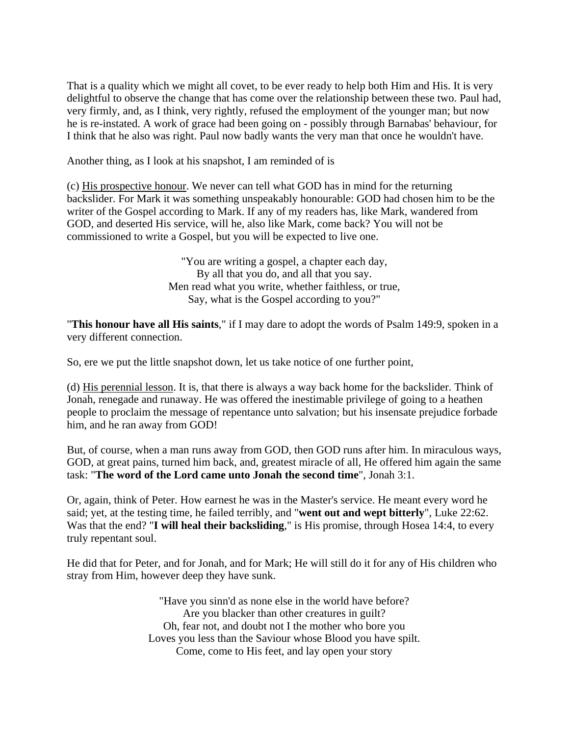That is a quality which we might all covet, to be ever ready to help both Him and His. It is very delightful to observe the change that has come over the relationship between these two. Paul had, very firmly, and, as I think, very rightly, refused the employment of the younger man; but now he is re-instated. A work of grace had been going on - possibly through Barnabas' behaviour, for I think that he also was right. Paul now badly wants the very man that once he wouldn't have.

Another thing, as I look at his snapshot, I am reminded of is

(c) His prospective honour. We never can tell what GOD has in mind for the returning backslider. For Mark it was something unspeakably honourable: GOD had chosen him to be the writer of the Gospel according to Mark. If any of my readers has, like Mark, wandered from GOD, and deserted His service, will he, also like Mark, come back? You will not be commissioned to write a Gospel, but you will be expected to live one.

> "You are writing a gospel, a chapter each day, By all that you do, and all that you say. Men read what you write, whether faithless, or true, Say, what is the Gospel according to you?"

"**This honour have all His saints**," if I may dare to adopt the words of Psalm 149:9, spoken in a very different connection.

So, ere we put the little snapshot down, let us take notice of one further point,

(d) His perennial lesson. It is, that there is always a way back home for the backslider. Think of Jonah, renegade and runaway. He was offered the inestimable privilege of going to a heathen people to proclaim the message of repentance unto salvation; but his insensate prejudice forbade him, and he ran away from GOD!

But, of course, when a man runs away from GOD, then GOD runs after him. In miraculous ways, GOD, at great pains, turned him back, and, greatest miracle of all, He offered him again the same task: "**The word of the Lord came unto Jonah the second time**", Jonah 3:1.

Or, again, think of Peter. How earnest he was in the Master's service. He meant every word he said; yet, at the testing time, he failed terribly, and "**went out and wept bitterly**", Luke 22:62. Was that the end? "**I will heal their backsliding**," is His promise, through Hosea 14:4, to every truly repentant soul.

He did that for Peter, and for Jonah, and for Mark; He will still do it for any of His children who stray from Him, however deep they have sunk.

> "Have you sinn'd as none else in the world have before? Are you blacker than other creatures in guilt? Oh, fear not, and doubt not I the mother who bore you Loves you less than the Saviour whose Blood you have spilt. Come, come to His feet, and lay open your story